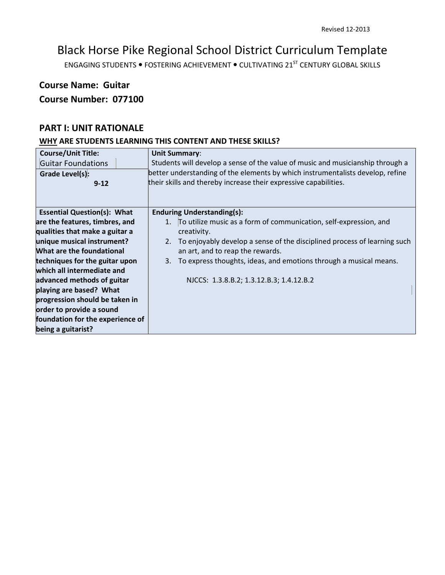# Black Horse Pike Regional School District Curriculum Template

ENGAGING STUDENTS . FOSTERING ACHIEVEMENT . CULTIVATING 21<sup>ST</sup> CENTURY GLOBAL SKILLS

# **Course Name: Guitar Course Number: 077100**

# **PART I: UNIT RATIONALE**

# **WHY ARE STUDENTS LEARNING THIS CONTENT AND THESE SKILLS?**

| <b>Course/Unit Title:</b>          | <b>Unit Summary:</b>                                                           |  |  |
|------------------------------------|--------------------------------------------------------------------------------|--|--|
| <b>Guitar Foundations</b>          | Students will develop a sense of the value of music and musicianship through a |  |  |
| Grade Level(s):                    | better understanding of the elements by which instrumentalists develop, refine |  |  |
| $9 - 12$                           | their skills and thereby increase their expressive capabilities.               |  |  |
|                                    |                                                                                |  |  |
| <b>Essential Question(s): What</b> | <b>Enduring Understanding(s):</b>                                              |  |  |
| are the features, timbres, and     | 1. To utilize music as a form of communication, self-expression, and           |  |  |
| qualities that make a guitar a     | creativity.                                                                    |  |  |
| unique musical instrument?         | To enjoyably develop a sense of the disciplined process of learning such<br>2. |  |  |
| What are the foundational          | an art, and to reap the rewards.                                               |  |  |
| techniques for the guitar upon     | To express thoughts, ideas, and emotions through a musical means.<br>3.        |  |  |
| which all intermediate and         |                                                                                |  |  |
| advanced methods of guitar         | NJCCS: 1.3.8.B.2; 1.3.12.B.3; 1.4.12.B.2                                       |  |  |
| playing are based? What            |                                                                                |  |  |
| progression should be taken in     |                                                                                |  |  |
| order to provide a sound           |                                                                                |  |  |
|                                    |                                                                                |  |  |
| foundation for the experience of   |                                                                                |  |  |
| being a guitarist?                 |                                                                                |  |  |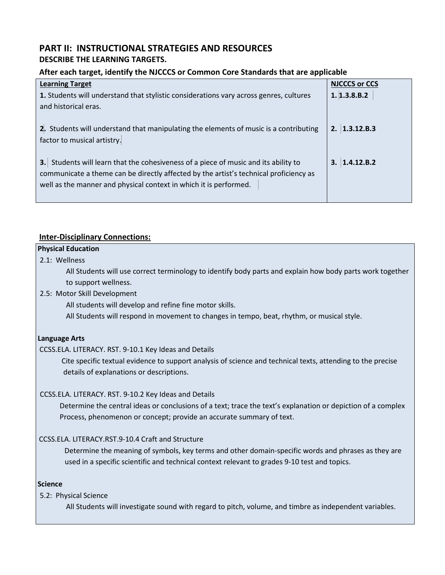# **PART II: INSTRUCTIONAL STRATEGIES AND RESOURCES DESCRIBE THE LEARNING TARGETS.**

# **After each target, identify the NJCCCS or Common Core Standards that are applicable**

| <b>Learning Target</b>                                                                 | <b>NJCCCS or CCS</b> |
|----------------------------------------------------------------------------------------|----------------------|
| 1. Students will understand that stylistic considerations vary across genres, cultures | 1.1.3.8.B.2          |
| and historical eras.                                                                   |                      |
|                                                                                        |                      |
| 2. Students will understand that manipulating the elements of music is a contributing  | 2.   1.3.12.B.3      |
| factor to musical artistry.                                                            |                      |
|                                                                                        |                      |
| 3. Students will learn that the cohesiveness of a piece of music and its ability to    | 1.4.12.B.2<br>3.     |
| communicate a theme can be directly affected by the artist's technical proficiency as  |                      |
| well as the manner and physical context in which it is performed.                      |                      |
|                                                                                        |                      |

# **Inter-Disciplinary Connections:**

# **Physical Education**

# 2.1: Wellness

All Students will use correct terminology to identify body parts and explain how body parts work together to support wellness.

## 2.5: Motor Skill Development

All students will develop and refine fine motor skills.

All Students will respond in movement to changes in tempo, beat, rhythm, or musical style.

# **Language Arts**

# CCSS.ELA. LITERACY. RST. 9-10.1 Key Ideas and Details

 Cite specific textual evidence to support analysis of science and technical texts, attending to the precise details of explanations or descriptions.

# CCSS.ELA. LITERACY. RST. 9-10.2 Key Ideas and Details

 Determine the central ideas or conclusions of a text; trace the text's explanation or depiction of a complex Process, phenomenon or concept; provide an accurate summary of text.

# CCSS.ELA. LITERACY.RST.9-10.4 Craft and Structure

 Determine the meaning of symbols, key terms and other domain-specific words and phrases as they are used in a specific scientific and technical context relevant to grades 9-10 test and topics.

# **Science**

# 5.2: Physical Science

All Students will investigate sound with regard to pitch, volume, and timbre as independent variables.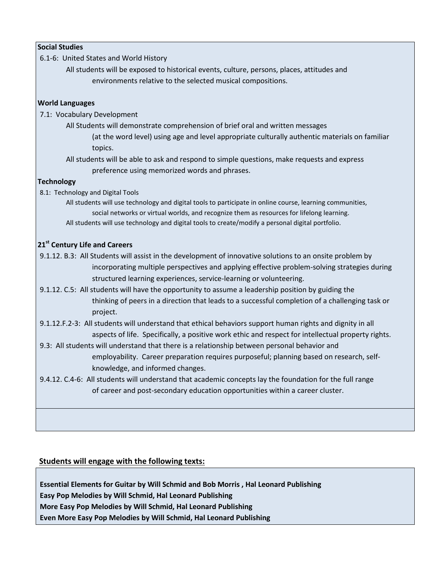# **Social Studies**

6.1-6: United States and World History

All students will be exposed to historical events, culture, persons, places, attitudes and environments relative to the selected musical compositions.

# **World Languages**

- 7.1: Vocabulary Development
	- All Students will demonstrate comprehension of brief oral and written messages
		- (at the word level) using age and level appropriate culturally authentic materials on familiar topics.
	- All students will be able to ask and respond to simple questions, make requests and express preference using memorized words and phrases.

## **Technology**

8.1: Technology and Digital Tools

All students will use technology and digital tools to participate in online course, learning communities, social networks or virtual worlds, and recognize them as resources for lifelong learning. All students will use technology and digital tools to create/modify a personal digital portfolio.

# **21st Century Life and Careers**

- 9.1.12. B.3: All Students will assist in the development of innovative solutions to an onsite problem by incorporating multiple perspectives and applying effective problem-solving strategies during structured learning experiences, service-learning or volunteering.
- 9.1.12. C.5: All students will have the opportunity to assume a leadership position by guiding the thinking of peers in a direction that leads to a successful completion of a challenging task or project.
- 9.1.12.F.2-3: All students will understand that ethical behaviors support human rights and dignity in all aspects of life. Specifically, a positive work ethic and respect for intellectual property rights.
- 9.3: All students will understand that there is a relationship between personal behavior and employability. Career preparation requires purposeful; planning based on research, selfknowledge, and informed changes.
- 9.4.12. C.4-6: All students will understand that academic concepts lay the foundation for the full range of career and post-secondary education opportunities within a career cluster.

# **Students will engage with the following texts:**

**Essential Elements for Guitar by Will Schmid and Bob Morris , Hal Leonard Publishing Easy Pop Melodies by Will Schmid, Hal Leonard Publishing More Easy Pop Melodies by Will Schmid, Hal Leonard Publishing Even More Easy Pop Melodies by Will Schmid, Hal Leonard Publishing**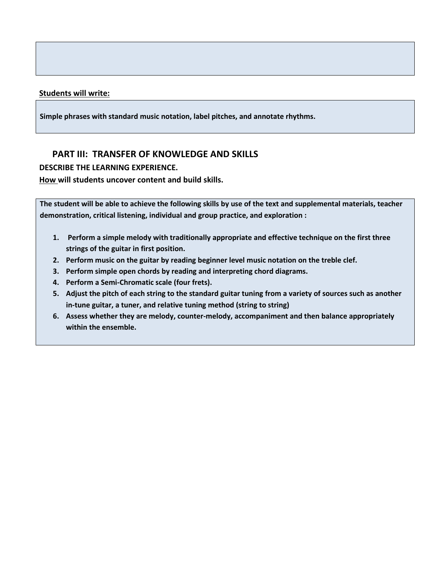# **Students will write:**

**Simple phrases with standard music notation, label pitches, and annotate rhythms.**

# **PART III: TRANSFER OF KNOWLEDGE AND SKILLS**

**DESCRIBE THE LEARNING EXPERIENCE.**

**How will students uncover content and build skills.** 

**The student will be able to achieve the following skills by use of the text and supplemental materials, teacher demonstration, critical listening, individual and group practice, and exploration :**

- **1. Perform a simple melody with traditionally appropriate and effective technique on the first three strings of the guitar in first position.**
- **2. Perform music on the guitar by reading beginner level music notation on the treble clef.**
- **3. Perform simple open chords by reading and interpreting chord diagrams.**
- **4. Perform a Semi-Chromatic scale (four frets).**
- **5. Adjust the pitch of each string to the standard guitar tuning from a variety of sources such as another in-tune guitar, a tuner, and relative tuning method (string to string)**
- **6. Assess whether they are melody, counter-melody, accompaniment and then balance appropriately within the ensemble.**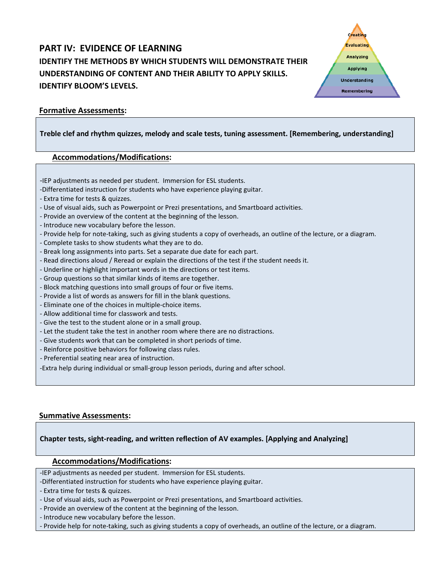# **PART IV: EVIDENCE OF LEARNING IDENTIFY THE METHODS BY WHICH STUDENTS WILL DEMONSTRATE THEIR UNDERSTANDING OF CONTENT AND THEIR ABILITY TO APPLY SKILLS. IDENTIFY BLOOM'S LEVELS.**



# **Treble clef and rhythm quizzes, melody and scale tests, tuning assessment. [Remembering, understanding]**

# **Accommodations/Modifications:**

-IEP adjustments as needed per student. Immersion for ESL students.

- -Differentiated instruction for students who have experience playing guitar.
- Extra time for tests & quizzes.
- Use of visual aids, such as Powerpoint or Prezi presentations, and Smartboard activities.
- Provide an overview of the content at the beginning of the lesson.
- Introduce new vocabulary before the lesson.
- Provide help for note-taking, such as giving students a copy of overheads, an outline of the lecture, or a diagram.
- Complete tasks to show students what they are to do.
- Break long assignments into parts. Set a separate due date for each part.
- Read directions aloud / Reread or explain the directions of the test if the student needs it.
- Underline or highlight important words in the directions or test items.
- Group questions so that similar kinds of items are together.
- Block matching questions into small groups of four or five items.
- Provide a list of words as answers for fill in the blank questions.
- Eliminate one of the choices in multiple-choice items.
- Allow additional time for classwork and tests.
- Give the test to the student alone or in a small group.
- Let the student take the test in another room where there are no distractions.
- Give students work that can be completed in short periods of time.
- Reinforce positive behaviors for following class rules.
- Preferential seating near area of instruction.

-Extra help during individual or small-group lesson periods, during and after school.

## **Summative Assessments:**

## **Chapter tests, sight-reading, and written reflection of AV examples. [Applying and Analyzing]**

## **Accommodations/Modifications:**

-IEP adjustments as needed per student. Immersion for ESL students.

-Differentiated instruction for students who have experience playing guitar.

- Extra time for tests & quizzes.
- Use of visual aids, such as Powerpoint or Prezi presentations, and Smartboard activities.
- Provide an overview of the content at the beginning of the lesson.
- Introduce new vocabulary before the lesson.
- Provide help for note-taking, such as giving students a copy of overheads, an outline of the lecture, or a diagram.

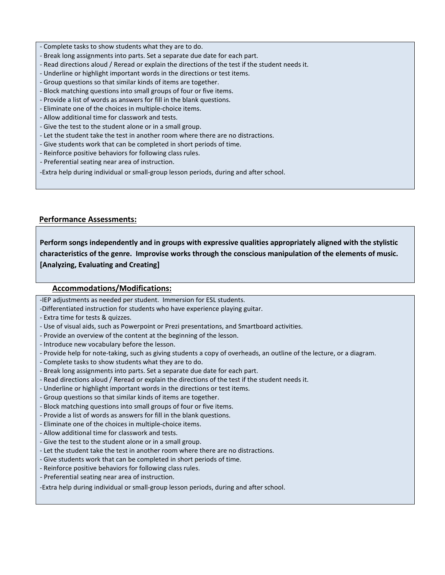- Complete tasks to show students what they are to do.
- Break long assignments into parts. Set a separate due date for each part.
- Read directions aloud / Reread or explain the directions of the test if the student needs it.
- Underline or highlight important words in the directions or test items.
- Group questions so that similar kinds of items are together.
- Block matching questions into small groups of four or five items.
- Provide a list of words as answers for fill in the blank questions.
- Eliminate one of the choices in multiple-choice items.
- Allow additional time for classwork and tests.
- Give the test to the student alone or in a small group.
- Let the student take the test in another room where there are no distractions.
- Give students work that can be completed in short periods of time.
- Reinforce positive behaviors for following class rules.
- Preferential seating near area of instruction.
- -Extra help during individual or small-group lesson periods, during and after school.

#### **Performance Assessments:**

**Perform songs independently and in groups with expressive qualities appropriately aligned with the stylistic characteristics of the genre. Improvise works through the conscious manipulation of the elements of music. [Analyzing, Evaluating and Creating]**

#### **Accommodations/Modifications:**

-IEP adjustments as needed per student. Immersion for ESL students.

- -Differentiated instruction for students who have experience playing guitar.
- Extra time for tests & quizzes.
- Use of visual aids, such as Powerpoint or Prezi presentations, and Smartboard activities.
- Provide an overview of the content at the beginning of the lesson.
- Introduce new vocabulary before the lesson.
- Provide help for note-taking, such as giving students a copy of overheads, an outline of the lecture, or a diagram.
- Complete tasks to show students what they are to do.
- Break long assignments into parts. Set a separate due date for each part.
- Read directions aloud / Reread or explain the directions of the test if the student needs it.
- Underline or highlight important words in the directions or test items.
- Group questions so that similar kinds of items are together.
- Block matching questions into small groups of four or five items.
- Provide a list of words as answers for fill in the blank questions.
- Eliminate one of the choices in multiple-choice items.
- Allow additional time for classwork and tests.
- Give the test to the student alone or in a small group.
- Let the student take the test in another room where there are no distractions.
- Give students work that can be completed in short periods of time.
- Reinforce positive behaviors for following class rules.
- Preferential seating near area of instruction.

-Extra help during individual or small-group lesson periods, during and after school.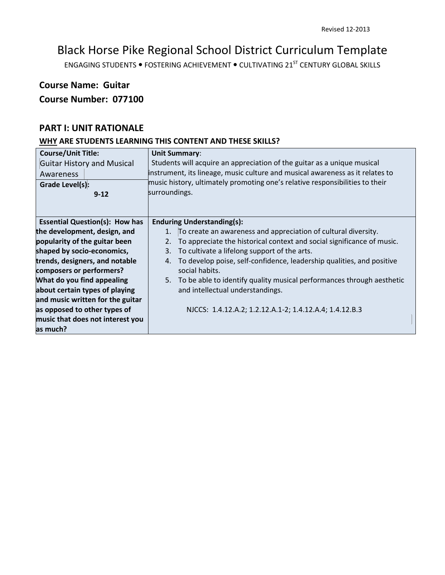# Black Horse Pike Regional School District Curriculum Template

ENGAGING STUDENTS . FOSTERING ACHIEVEMENT . CULTIVATING 21<sup>ST</sup> CENTURY GLOBAL SKILLS

# **Course Name: Guitar Course Number: 077100**

# **PART I: UNIT RATIONALE**

# **WHY ARE STUDENTS LEARNING THIS CONTENT AND THESE SKILLS?**

| <b>Course/Unit Title:</b>                                                                                                                                                                                                                                                                                                                                                              | <b>Unit Summary:</b>                                                                                                                                                                                                                                                                                                                                                                                                                                                                                                        |  |
|----------------------------------------------------------------------------------------------------------------------------------------------------------------------------------------------------------------------------------------------------------------------------------------------------------------------------------------------------------------------------------------|-----------------------------------------------------------------------------------------------------------------------------------------------------------------------------------------------------------------------------------------------------------------------------------------------------------------------------------------------------------------------------------------------------------------------------------------------------------------------------------------------------------------------------|--|
| <b>Guitar History and Musical</b>                                                                                                                                                                                                                                                                                                                                                      | Students will acquire an appreciation of the guitar as a unique musical                                                                                                                                                                                                                                                                                                                                                                                                                                                     |  |
| Awareness                                                                                                                                                                                                                                                                                                                                                                              | instrument, its lineage, music culture and musical awareness as it relates to                                                                                                                                                                                                                                                                                                                                                                                                                                               |  |
| Grade Level(s):                                                                                                                                                                                                                                                                                                                                                                        | music history, ultimately promoting one's relative responsibilities to their                                                                                                                                                                                                                                                                                                                                                                                                                                                |  |
| $9 - 12$                                                                                                                                                                                                                                                                                                                                                                               | surroundings.                                                                                                                                                                                                                                                                                                                                                                                                                                                                                                               |  |
| <b>Essential Question(s): How has</b><br>the development, design, and<br>popularity of the guitar been<br>shaped by socio-economics,<br>trends, designers, and notable<br>composers or performers?<br>What do you find appealing<br>about certain types of playing<br>and music written for the guitar<br>as opposed to other types of<br>music that does not interest you<br>as much? | <b>Enduring Understanding(s):</b><br>To create an awareness and appreciation of cultural diversity.<br>1.<br>To appreciate the historical context and social significance of music.<br>2.<br>To cultivate a lifelong support of the arts.<br>3.<br>To develop poise, self-confidence, leadership qualities, and positive<br>4.<br>social habits.<br>5. To be able to identify quality musical performances through aesthetic<br>and intellectual understandings.<br>NJCCS: 1.4.12.A.2; 1.2.12.A.1-2; 1.4.12.A.4; 1.4.12.B.3 |  |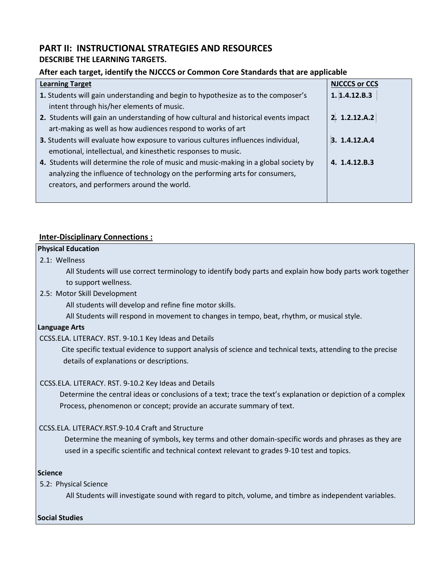# **PART II: INSTRUCTIONAL STRATEGIES AND RESOURCES DESCRIBE THE LEARNING TARGETS.**

# **After each target, identify the NJCCCS or Common Core Standards that are applicable**

| <b>Learning Target</b>                                                               | <b>NJCCCS or CCS</b> |
|--------------------------------------------------------------------------------------|----------------------|
| 1. Students will gain understanding and begin to hypothesize as to the composer's    | 1.1.4.12.B.3         |
| intent through his/her elements of music.                                            |                      |
| 2. Students will gain an understanding of how cultural and historical events impact  | 2. 1.2.12.A.2        |
| art-making as well as how audiences respond to works of art                          |                      |
| 3. Students will evaluate how exposure to various cultures influences individual,    | 3.1.4.12.A.4         |
| emotional, intellectual, and kinesthetic responses to music.                         |                      |
| 4. Students will determine the role of music and music-making in a global society by | 4. 1.4.12.B.3        |
| analyzing the influence of technology on the performing arts for consumers,          |                      |
| creators, and performers around the world.                                           |                      |
|                                                                                      |                      |

# **Inter-Disciplinary Connections :**

# **Physical Education**

# 2.1: Wellness

All Students will use correct terminology to identify body parts and explain how body parts work together to support wellness.

## 2.5: Motor Skill Development

All students will develop and refine fine motor skills.

All Students will respond in movement to changes in tempo, beat, rhythm, or musical style.

## **Language Arts**

# CCSS.ELA. LITERACY. RST. 9-10.1 Key Ideas and Details

 Cite specific textual evidence to support analysis of science and technical texts, attending to the precise details of explanations or descriptions.

# CCSS.ELA. LITERACY. RST. 9-10.2 Key Ideas and Details

 Determine the central ideas or conclusions of a text; trace the text's explanation or depiction of a complex Process, phenomenon or concept; provide an accurate summary of text.

# CCSS.ELA. LITERACY.RST.9-10.4 Craft and Structure

 Determine the meaning of symbols, key terms and other domain-specific words and phrases as they are used in a specific scientific and technical context relevant to grades 9-10 test and topics.

## **Science**

# 5.2: Physical Science

All Students will investigate sound with regard to pitch, volume, and timbre as independent variables.

## **Social Studies**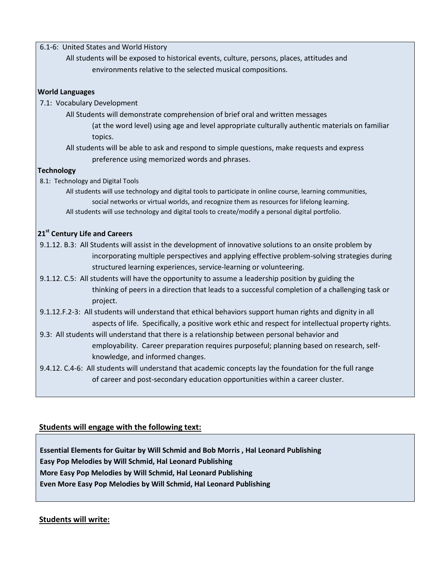#### 6.1-6: United States and World History

All students will be exposed to historical events, culture, persons, places, attitudes and environments relative to the selected musical compositions.

## **World Languages**

- 7.1: Vocabulary Development
	- All Students will demonstrate comprehension of brief oral and written messages

(at the word level) using age and level appropriate culturally authentic materials on familiar topics.

All students will be able to ask and respond to simple questions, make requests and express preference using memorized words and phrases.

#### **Technology**

8.1: Technology and Digital Tools

All students will use technology and digital tools to participate in online course, learning communities, social networks or virtual worlds, and recognize them as resources for lifelong learning. All students will use technology and digital tools to create/modify a personal digital portfolio.

## **21st Century Life and Careers**

- 9.1.12. B.3: All Students will assist in the development of innovative solutions to an onsite problem by incorporating multiple perspectives and applying effective problem-solving strategies during structured learning experiences, service-learning or volunteering.
- 9.1.12. C.5: All students will have the opportunity to assume a leadership position by guiding the thinking of peers in a direction that leads to a successful completion of a challenging task or project.
- 9.1.12.F.2-3: All students will understand that ethical behaviors support human rights and dignity in all aspects of life. Specifically, a positive work ethic and respect for intellectual property rights.
- 9.3: All students will understand that there is a relationship between personal behavior and employability. Career preparation requires purposeful; planning based on research, selfknowledge, and informed changes.
- 9.4.12. C.4-6: All students will understand that academic concepts lay the foundation for the full range of career and post-secondary education opportunities within a career cluster.

## **Students will engage with the following text:**

**Essential Elements for Guitar by Will Schmid and Bob Morris , Hal Leonard Publishing Easy Pop Melodies by Will Schmid, Hal Leonard Publishing More Easy Pop Melodies by Will Schmid, Hal Leonard Publishing Even More Easy Pop Melodies by Will Schmid, Hal Leonard Publishing**

## **Students will write:**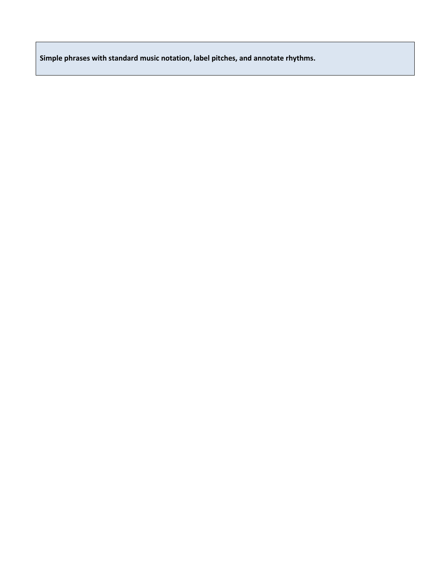**Simple phrases with standard music notation, label pitches, and annotate rhythms.**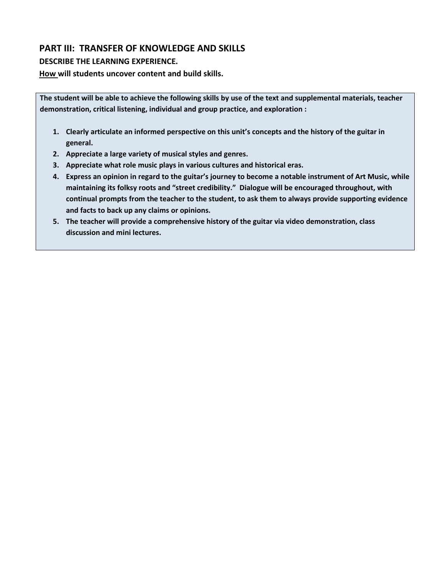# **PART III: TRANSFER OF KNOWLEDGE AND SKILLS**

# **DESCRIBE THE LEARNING EXPERIENCE.**

**How will students uncover content and build skills.** 

**The student will be able to achieve the following skills by use of the text and supplemental materials, teacher demonstration, critical listening, individual and group practice, and exploration :**

- **1. Clearly articulate an informed perspective on this unit's concepts and the history of the guitar in general.**
- **2. Appreciate a large variety of musical styles and genres.**
- **3. Appreciate what role music plays in various cultures and historical eras.**
- **4. Express an opinion in regard to the guitar's journey to become a notable instrument of Art Music, while maintaining its folksy roots and "street credibility." Dialogue will be encouraged throughout, with continual prompts from the teacher to the student, to ask them to always provide supporting evidence and facts to back up any claims or opinions.**
- **5. The teacher will provide a comprehensive history of the guitar via video demonstration, class discussion and mini lectures.**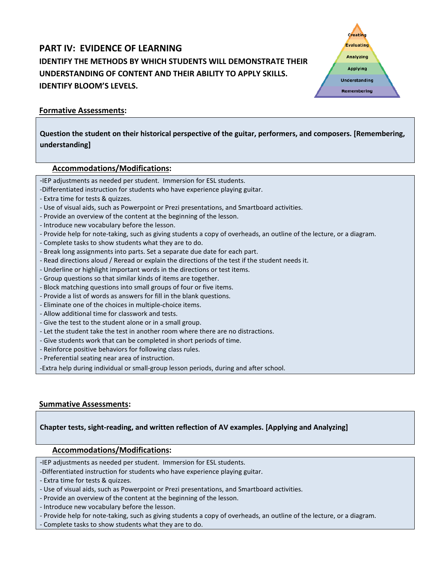# **PART IV: EVIDENCE OF LEARNING IDENTIFY THE METHODS BY WHICH STUDENTS WILL DEMONSTRATE THEIR UNDERSTANDING OF CONTENT AND THEIR ABILITY TO APPLY SKILLS. IDENTIFY BLOOM'S LEVELS.**



# **Formative Assessments:**

# **Question the student on their historical perspective of the guitar, performers, and composers. [Remembering, understanding]**

## **Accommodations/Modifications:**

-IEP adjustments as needed per student. Immersion for ESL students.

- -Differentiated instruction for students who have experience playing guitar.
- Extra time for tests & quizzes.
- Use of visual aids, such as Powerpoint or Prezi presentations, and Smartboard activities.
- Provide an overview of the content at the beginning of the lesson.
- Introduce new vocabulary before the lesson.
- Provide help for note-taking, such as giving students a copy of overheads, an outline of the lecture, or a diagram.
- Complete tasks to show students what they are to do.
- Break long assignments into parts. Set a separate due date for each part.
- Read directions aloud / Reread or explain the directions of the test if the student needs it.
- Underline or highlight important words in the directions or test items.
- Group questions so that similar kinds of items are together.
- Block matching questions into small groups of four or five items.
- Provide a list of words as answers for fill in the blank questions.
- Eliminate one of the choices in multiple-choice items.
- Allow additional time for classwork and tests.
- Give the test to the student alone or in a small group.
- Let the student take the test in another room where there are no distractions.
- Give students work that can be completed in short periods of time.
- Reinforce positive behaviors for following class rules.
- Preferential seating near area of instruction.

-Extra help during individual or small-group lesson periods, during and after school.

## **Summative Assessments:**

## **Chapter tests, sight-reading, and written reflection of AV examples. [Applying and Analyzing]**

## **Accommodations/Modifications:**

-IEP adjustments as needed per student. Immersion for ESL students.

- -Differentiated instruction for students who have experience playing guitar.
- Extra time for tests & quizzes.
- Use of visual aids, such as Powerpoint or Prezi presentations, and Smartboard activities.
- Provide an overview of the content at the beginning of the lesson.
- Introduce new vocabulary before the lesson.
- Provide help for note-taking, such as giving students a copy of overheads, an outline of the lecture, or a diagram.
- Complete tasks to show students what they are to do.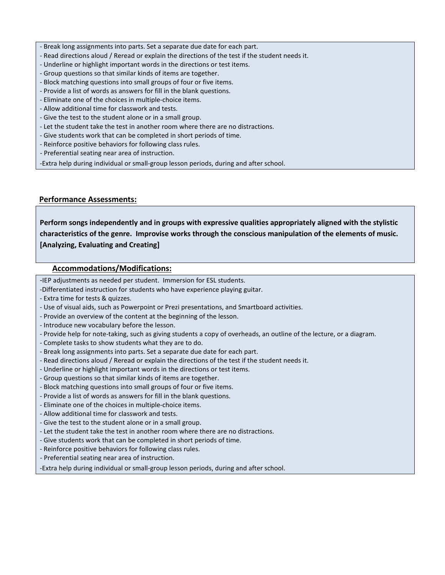- Break long assignments into parts. Set a separate due date for each part.
- Read directions aloud / Reread or explain the directions of the test if the student needs it.
- Underline or highlight important words in the directions or test items.
- Group questions so that similar kinds of items are together.
- Block matching questions into small groups of four or five items.
- Provide a list of words as answers for fill in the blank questions.
- Eliminate one of the choices in multiple-choice items.
- Allow additional time for classwork and tests.
- Give the test to the student alone or in a small group.
- Let the student take the test in another room where there are no distractions.
- Give students work that can be completed in short periods of time.
- Reinforce positive behaviors for following class rules.
- Preferential seating near area of instruction.

-Extra help during individual or small-group lesson periods, during and after school.

#### **Performance Assessments:**

**Perform songs independently and in groups with expressive qualities appropriately aligned with the stylistic characteristics of the genre. Improvise works through the conscious manipulation of the elements of music. [Analyzing, Evaluating and Creating]**

## **Accommodations/Modifications:**

-IEP adjustments as needed per student. Immersion for ESL students.

- -Differentiated instruction for students who have experience playing guitar.
- Extra time for tests & quizzes.
- Use of visual aids, such as Powerpoint or Prezi presentations, and Smartboard activities.
- Provide an overview of the content at the beginning of the lesson.
- Introduce new vocabulary before the lesson.
- Provide help for note-taking, such as giving students a copy of overheads, an outline of the lecture, or a diagram.
- Complete tasks to show students what they are to do.
- Break long assignments into parts. Set a separate due date for each part.
- Read directions aloud / Reread or explain the directions of the test if the student needs it.
- Underline or highlight important words in the directions or test items.
- Group questions so that similar kinds of items are together.
- Block matching questions into small groups of four or five items.
- Provide a list of words as answers for fill in the blank questions.
- Eliminate one of the choices in multiple-choice items.
- Allow additional time for classwork and tests.
- Give the test to the student alone or in a small group.
- Let the student take the test in another room where there are no distractions.
- Give students work that can be completed in short periods of time.
- Reinforce positive behaviors for following class rules.
- Preferential seating near area of instruction.

-Extra help during individual or small-group lesson periods, during and after school.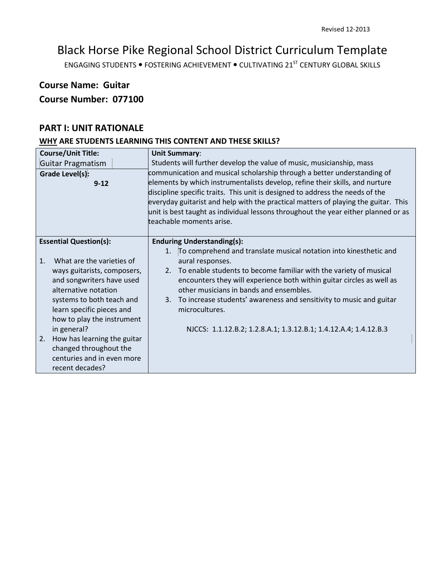# Black Horse Pike Regional School District Curriculum Template

ENGAGING STUDENTS . FOSTERING ACHIEVEMENT . CULTIVATING 21<sup>ST</sup> CENTURY GLOBAL SKILLS

# **Course Name: Guitar Course Number: 077100**

# **PART I: UNIT RATIONALE**

# **WHY ARE STUDENTS LEARNING THIS CONTENT AND THESE SKILLS?**

|                | <b>Course/Unit Title:</b>     | <b>Unit Summary:</b>                                                               |  |
|----------------|-------------------------------|------------------------------------------------------------------------------------|--|
|                |                               |                                                                                    |  |
|                | Guitar Pragmatism             | Students will further develop the value of music, musicianship, mass               |  |
|                | Grade Level(s):               | communication and musical scholarship through a better understanding of            |  |
|                | $9 - 12$                      | elements by which instrumentalists develop, refine their skills, and nurture       |  |
|                |                               | discipline specific traits. This unit is designed to address the needs of the      |  |
|                |                               | everyday guitarist and help with the practical matters of playing the guitar. This |  |
|                |                               | unit is best taught as individual lessons throughout the year either planned or as |  |
|                | teachable moments arise.      |                                                                                    |  |
|                |                               |                                                                                    |  |
|                |                               |                                                                                    |  |
|                | <b>Essential Question(s):</b> | <b>Enduring Understanding(s):</b>                                                  |  |
|                |                               | 1. To comprehend and translate musical notation into kinesthetic and               |  |
| 1 <sub>1</sub> | What are the varieties of     | aural responses.                                                                   |  |
|                | ways guitarists, composers,   | 2. To enable students to become familiar with the variety of musical               |  |
|                | and songwriters have used     | encounters they will experience both within guitar circles as well as              |  |
|                | alternative notation          | other musicians in bands and ensembles.                                            |  |
|                | systems to both teach and     | To increase students' awareness and sensitivity to music and guitar<br>3.          |  |
|                | learn specific pieces and     | microcultures.                                                                     |  |
|                |                               |                                                                                    |  |
|                | how to play the instrument    |                                                                                    |  |
|                | in general?                   | NJCCS: 1.1.12.B.2; 1.2.8.A.1; 1.3.12.B.1; 1.4.12.A.4; 1.4.12.B.3                   |  |
| 2.             | How has learning the guitar   |                                                                                    |  |
|                | changed throughout the        |                                                                                    |  |
|                | centuries and in even more    |                                                                                    |  |
|                | recent decades?               |                                                                                    |  |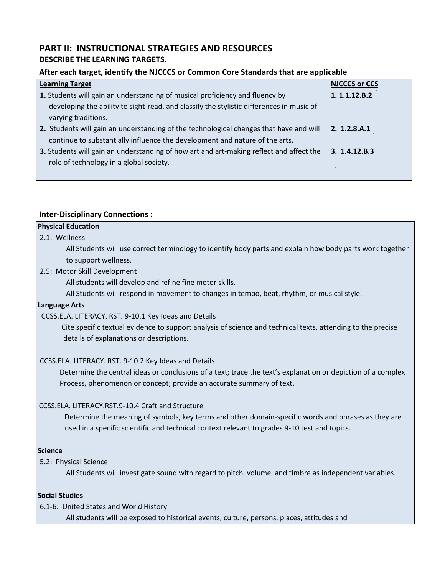# **PART II: INSTRUCTIONAL STRATEGIES AND RESOURCES DESCRIBE THE LEARNING TARGETS.**

# **After each target, identify the NJCCCS or Common Core Standards that are applicable**

| <b>Learning Target</b>                                                                   | <b>NJCCCS or CCS</b> |
|------------------------------------------------------------------------------------------|----------------------|
| 1. Students will gain an understanding of musical proficiency and fluency by             | 1.1.1.12.B.2         |
| developing the ability to sight-read, and classify the stylistic differences in music of |                      |
| varying traditions.                                                                      |                      |
| 2. Students will gain an understanding of the technological changes that have and will   | 2.1.2.8.A.1          |
| continue to substantially influence the development and nature of the arts.              |                      |
| 3. Students will gain an understanding of how art and art-making reflect and affect the  | 3.1.4.12.B.3         |
| role of technology in a global society.                                                  |                      |
|                                                                                          |                      |

# **Inter-Disciplinary Connections :**

# **Physical Education**

# 2.1: Wellness

All Students will use correct terminology to identify body parts and explain how body parts work together to support wellness.

2.5: Motor Skill Development

All students will develop and refine fine motor skills.

All Students will respond in movement to changes in tempo, beat, rhythm, or musical style.

## **Language Arts**

# CCSS.ELA. LITERACY. RST. 9-10.1 Key Ideas and Details

 Cite specific textual evidence to support analysis of science and technical texts, attending to the precise details of explanations or descriptions.

# CCSS.ELA. LITERACY. RST. 9-10.2 Key Ideas and Details

 Determine the central ideas or conclusions of a text; trace the text's explanation or depiction of a complex Process, phenomenon or concept; provide an accurate summary of text.

# CCSS.ELA. LITERACY.RST.9-10.4 Craft and Structure

 Determine the meaning of symbols, key terms and other domain-specific words and phrases as they are used in a specific scientific and technical context relevant to grades 9-10 test and topics.

# **Science**

5.2: Physical Science

All Students will investigate sound with regard to pitch, volume, and timbre as independent variables.

# **Social Studies**

6.1-6: United States and World History

All students will be exposed to historical events, culture, persons, places, attitudes and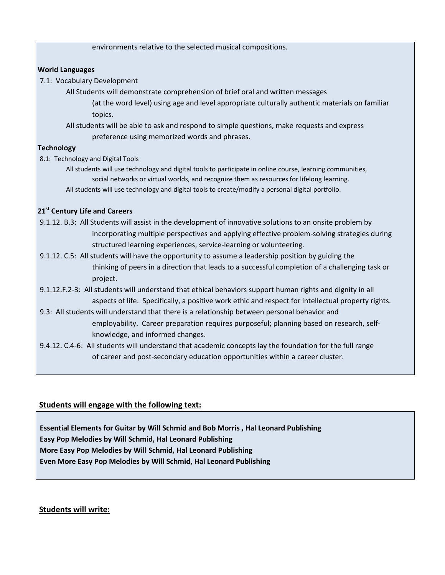environments relative to the selected musical compositions.

# **World Languages**

7.1: Vocabulary Development

All Students will demonstrate comprehension of brief oral and written messages

(at the word level) using age and level appropriate culturally authentic materials on familiar topics.

All students will be able to ask and respond to simple questions, make requests and express preference using memorized words and phrases.

# **Technology**

8.1: Technology and Digital Tools

All students will use technology and digital tools to participate in online course, learning communities, social networks or virtual worlds, and recognize them as resources for lifelong learning. All students will use technology and digital tools to create/modify a personal digital portfolio.

# **21st Century Life and Careers**

- 9.1.12. B.3: All Students will assist in the development of innovative solutions to an onsite problem by incorporating multiple perspectives and applying effective problem-solving strategies during structured learning experiences, service-learning or volunteering.
- 9.1.12. C.5: All students will have the opportunity to assume a leadership position by guiding the thinking of peers in a direction that leads to a successful completion of a challenging task or project.
- 9.1.12.F.2-3: All students will understand that ethical behaviors support human rights and dignity in all aspects of life. Specifically, a positive work ethic and respect for intellectual property rights.
- 9.3: All students will understand that there is a relationship between personal behavior and employability. Career preparation requires purposeful; planning based on research, selfknowledge, and informed changes.
- 9.4.12. C.4-6: All students will understand that academic concepts lay the foundation for the full range of career and post-secondary education opportunities within a career cluster.

# **Students will engage with the following text:**

**Essential Elements for Guitar by Will Schmid and Bob Morris , Hal Leonard Publishing Easy Pop Melodies by Will Schmid, Hal Leonard Publishing More Easy Pop Melodies by Will Schmid, Hal Leonard Publishing Even More Easy Pop Melodies by Will Schmid, Hal Leonard Publishing**

**Students will write:**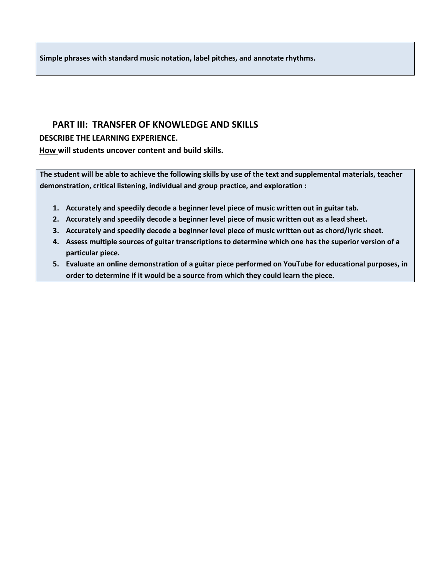**Simple phrases with standard music notation, label pitches, and annotate rhythms.**

# **PART III: TRANSFER OF KNOWLEDGE AND SKILLS**

# **DESCRIBE THE LEARNING EXPERIENCE.**

**How will students uncover content and build skills.** 

**The student will be able to achieve the following skills by use of the text and supplemental materials, teacher demonstration, critical listening, individual and group practice, and exploration :**

- **1. Accurately and speedily decode a beginner level piece of music written out in guitar tab.**
- **2. Accurately and speedily decode a beginner level piece of music written out as a lead sheet.**
- **3. Accurately and speedily decode a beginner level piece of music written out as chord/lyric sheet.**
- **4. Assess multiple sources of guitar transcriptions to determine which one has the superior version of a particular piece.**
- **5. Evaluate an online demonstration of a guitar piece performed on YouTube for educational purposes, in order to determine if it would be a source from which they could learn the piece.**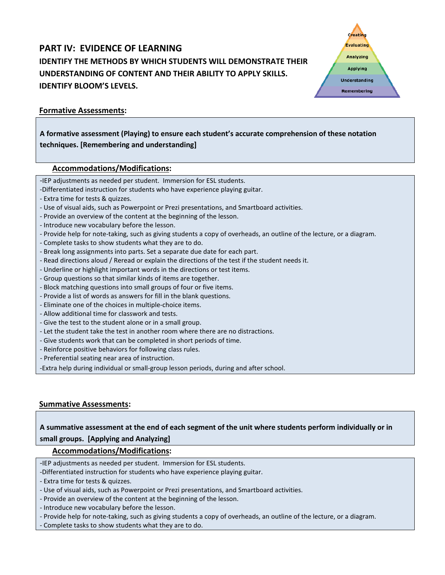# **PART IV: EVIDENCE OF LEARNING IDENTIFY THE METHODS BY WHICH STUDENTS WILL DEMONSTRATE THEIR UNDERSTANDING OF CONTENT AND THEIR ABILITY TO APPLY SKILLS. IDENTIFY BLOOM'S LEVELS.**



# **Formative Assessments:**

# **A formative assessment (Playing) to ensure each student's accurate comprehension of these notation techniques. [Remembering and understanding]**

# **Accommodations/Modifications:**

-IEP adjustments as needed per student. Immersion for ESL students.

- -Differentiated instruction for students who have experience playing guitar.
- Extra time for tests & quizzes.
- Use of visual aids, such as Powerpoint or Prezi presentations, and Smartboard activities.
- Provide an overview of the content at the beginning of the lesson.
- Introduce new vocabulary before the lesson.
- Provide help for note-taking, such as giving students a copy of overheads, an outline of the lecture, or a diagram.
- Complete tasks to show students what they are to do.
- Break long assignments into parts. Set a separate due date for each part.
- Read directions aloud / Reread or explain the directions of the test if the student needs it.
- Underline or highlight important words in the directions or test items.
- Group questions so that similar kinds of items are together.
- Block matching questions into small groups of four or five items.
- Provide a list of words as answers for fill in the blank questions.
- Eliminate one of the choices in multiple-choice items.
- Allow additional time for classwork and tests.
- Give the test to the student alone or in a small group.
- Let the student take the test in another room where there are no distractions.
- Give students work that can be completed in short periods of time.
- Reinforce positive behaviors for following class rules.
- Preferential seating near area of instruction.

-Extra help during individual or small-group lesson periods, during and after school.

## **Summative Assessments:**

**A summative assessment at the end of each segment of the unit where students perform individually or in small groups. [Applying and Analyzing]**

## **Accommodations/Modifications:**

-IEP adjustments as needed per student. Immersion for ESL students.

- -Differentiated instruction for students who have experience playing guitar.
- Extra time for tests & quizzes.
- Use of visual aids, such as Powerpoint or Prezi presentations, and Smartboard activities.
- Provide an overview of the content at the beginning of the lesson.
- Introduce new vocabulary before the lesson.
- Provide help for note-taking, such as giving students a copy of overheads, an outline of the lecture, or a diagram.
- Complete tasks to show students what they are to do.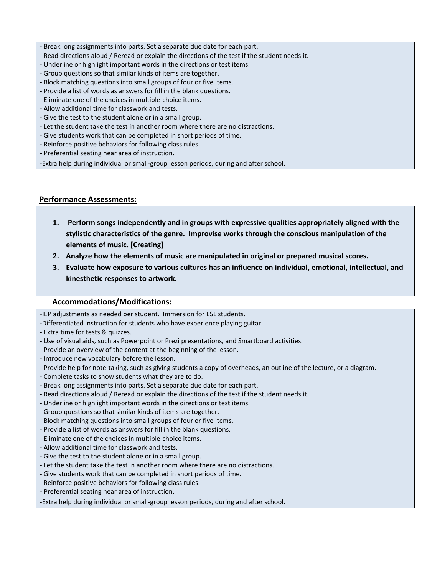- Break long assignments into parts. Set a separate due date for each part.
- Read directions aloud / Reread or explain the directions of the test if the student needs it.
- Underline or highlight important words in the directions or test items.
- Group questions so that similar kinds of items are together.
- Block matching questions into small groups of four or five items.
- Provide a list of words as answers for fill in the blank questions.
- Eliminate one of the choices in multiple-choice items.
- Allow additional time for classwork and tests.
- Give the test to the student alone or in a small group.
- Let the student take the test in another room where there are no distractions.
- Give students work that can be completed in short periods of time.
- Reinforce positive behaviors for following class rules.
- Preferential seating near area of instruction.

-Extra help during individual or small-group lesson periods, during and after school.

#### **Performance Assessments:**

- **1. Perform songs independently and in groups with expressive qualities appropriately aligned with the stylistic characteristics of the genre. Improvise works through the conscious manipulation of the elements of music. [Creating]**
- **2. Analyze how the elements of music are manipulated in original or prepared musical scores.**
- **3. Evaluate how exposure to various cultures has an influence on individual, emotional, intellectual, and kinesthetic responses to artwork.**

## **Accommodations/Modifications:**

-IEP adjustments as needed per student. Immersion for ESL students.

- -Differentiated instruction for students who have experience playing guitar.
- Extra time for tests & quizzes.
- Use of visual aids, such as Powerpoint or Prezi presentations, and Smartboard activities.
- Provide an overview of the content at the beginning of the lesson.
- Introduce new vocabulary before the lesson.
- Provide help for note-taking, such as giving students a copy of overheads, an outline of the lecture, or a diagram.
- Complete tasks to show students what they are to do.
- Break long assignments into parts. Set a separate due date for each part.
- Read directions aloud / Reread or explain the directions of the test if the student needs it.
- Underline or highlight important words in the directions or test items.
- Group questions so that similar kinds of items are together.
- Block matching questions into small groups of four or five items.
- Provide a list of words as answers for fill in the blank questions.
- Eliminate one of the choices in multiple-choice items.
- Allow additional time for classwork and tests.
- Give the test to the student alone or in a small group.
- Let the student take the test in another room where there are no distractions.
- Give students work that can be completed in short periods of time.
- Reinforce positive behaviors for following class rules.
- Preferential seating near area of instruction.

-Extra help during individual or small-group lesson periods, during and after school.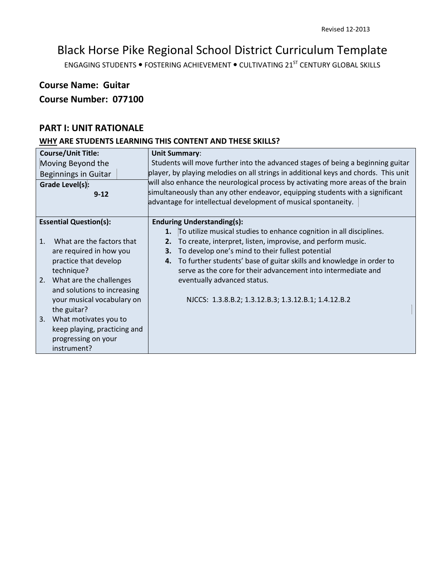# Black Horse Pike Regional School District Curriculum Template

ENGAGING STUDENTS . FOSTERING ACHIEVEMENT . CULTIVATING 21<sup>ST</sup> CENTURY GLOBAL SKILLS

# **Course Name: Guitar Course Number: 077100**

# **PART I: UNIT RATIONALE**

# **WHY ARE STUDENTS LEARNING THIS CONTENT AND THESE SKILLS?**

|                | <b>Course/Unit Title:</b><br>Moving Beyond the<br><b>Beginnings in Guitar</b><br>Grade Level(s):<br>$9 - 12$ | <b>Unit Summary:</b><br>Students will move further into the advanced stages of being a beginning guitar<br>player, by playing melodies on all strings in additional keys and chords. This unit<br>will also enhance the neurological process by activating more areas of the brain<br>simultaneously than any other endeavor, equipping students with a significant<br>advantage for intellectual development of musical spontaneity. |                                                                                                                                                                                                                                                          |
|----------------|--------------------------------------------------------------------------------------------------------------|---------------------------------------------------------------------------------------------------------------------------------------------------------------------------------------------------------------------------------------------------------------------------------------------------------------------------------------------------------------------------------------------------------------------------------------|----------------------------------------------------------------------------------------------------------------------------------------------------------------------------------------------------------------------------------------------------------|
|                | <b>Essential Question(s):</b>                                                                                | 1.                                                                                                                                                                                                                                                                                                                                                                                                                                    | <b>Enduring Understanding(s):</b><br>To utilize musical studies to enhance cognition in all disciplines.                                                                                                                                                 |
| $\mathbf{1}$ . | What are the factors that<br>are required in how you<br>practice that develop<br>technique?                  | 2.<br>3.<br>4.                                                                                                                                                                                                                                                                                                                                                                                                                        | To create, interpret, listen, improvise, and perform music.<br>To develop one's mind to their fullest potential<br>To further students' base of guitar skills and knowledge in order to<br>serve as the core for their advancement into intermediate and |
| 2.             | What are the challenges<br>and solutions to increasing<br>your musical vocabulary on<br>the guitar?          |                                                                                                                                                                                                                                                                                                                                                                                                                                       | eventually advanced status.<br>NJCCS: 1.3.8.B.2; 1.3.12.B.3; 1.3.12.B.1; 1.4.12.B.2                                                                                                                                                                      |
| 3.             | What motivates you to<br>keep playing, practicing and<br>progressing on your<br>instrument?                  |                                                                                                                                                                                                                                                                                                                                                                                                                                       |                                                                                                                                                                                                                                                          |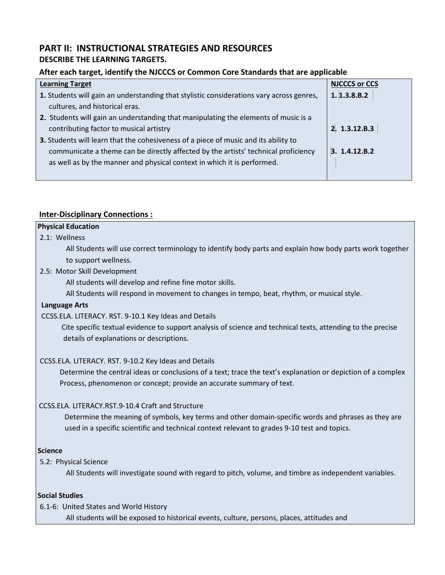# **PART II: INSTRUCTIONAL STRATEGIES AND RESOURCES DESCRIBE THE LEARNING TARGETS.**

# **After each target, identify the NJCCCS or Common Core Standards that are applicable**

| <b>Learning Target</b>                                                                   | <b>NJCCCS or CCS</b> |
|------------------------------------------------------------------------------------------|----------------------|
| 1. Students will gain an understanding that stylistic considerations vary across genres, | 1.1.3.8.B.2          |
| cultures, and historical eras.                                                           |                      |
| 2. Students will gain an understanding that manipulating the elements of music is a      |                      |
| contributing factor to musical artistry                                                  | 2. 1.3.12.B.3        |
| 3. Students will learn that the cohesiveness of a piece of music and its ability to      |                      |
| communicate a theme can be directly affected by the artists' technical proficiency       | 3.1.4.12.B.2         |
| as well as by the manner and physical context in which it is performed.                  |                      |
|                                                                                          |                      |

# **Inter-Disciplinary Connections :**

# **Physical Education**

# 2.1: Wellness

All Students will use correct terminology to identify body parts and explain how body parts work together to support wellness.

2.5: Motor Skill Development

All students will develop and refine fine motor skills.

All Students will respond in movement to changes in tempo, beat, rhythm, or musical style.

## **Language Arts**

# CCSS.ELA. LITERACY. RST. 9-10.1 Key Ideas and Details

 Cite specific textual evidence to support analysis of science and technical texts, attending to the precise details of explanations or descriptions.

# CCSS.ELA. LITERACY. RST. 9-10.2 Key Ideas and Details

 Determine the central ideas or conclusions of a text; trace the text's explanation or depiction of a complex Process, phenomenon or concept; provide an accurate summary of text.

# CCSS.ELA. LITERACY.RST.9-10.4 Craft and Structure

 Determine the meaning of symbols, key terms and other domain-specific words and phrases as they are used in a specific scientific and technical context relevant to grades 9-10 test and topics.

# **Science**

5.2: Physical Science

All Students will investigate sound with regard to pitch, volume, and timbre as independent variables.

# **Social Studies**

6.1-6: United States and World History

All students will be exposed to historical events, culture, persons, places, attitudes and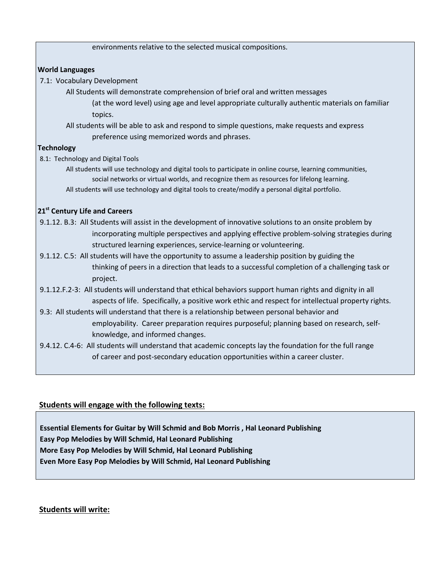environments relative to the selected musical compositions.

# **World Languages**

7.1: Vocabulary Development

All Students will demonstrate comprehension of brief oral and written messages

(at the word level) using age and level appropriate culturally authentic materials on familiar topics.

All students will be able to ask and respond to simple questions, make requests and express preference using memorized words and phrases.

# **Technology**

8.1: Technology and Digital Tools

All students will use technology and digital tools to participate in online course, learning communities, social networks or virtual worlds, and recognize them as resources for lifelong learning. All students will use technology and digital tools to create/modify a personal digital portfolio.

# **21st Century Life and Careers**

- 9.1.12. B.3: All Students will assist in the development of innovative solutions to an onsite problem by incorporating multiple perspectives and applying effective problem-solving strategies during structured learning experiences, service-learning or volunteering.
- 9.1.12. C.5: All students will have the opportunity to assume a leadership position by guiding the thinking of peers in a direction that leads to a successful completion of a challenging task or project.
- 9.1.12.F.2-3: All students will understand that ethical behaviors support human rights and dignity in all aspects of life. Specifically, a positive work ethic and respect for intellectual property rights.
- 9.3: All students will understand that there is a relationship between personal behavior and employability. Career preparation requires purposeful; planning based on research, selfknowledge, and informed changes.
- 9.4.12. C.4-6: All students will understand that academic concepts lay the foundation for the full range of career and post-secondary education opportunities within a career cluster.

# **Students will engage with the following texts:**

**Essential Elements for Guitar by Will Schmid and Bob Morris , Hal Leonard Publishing Easy Pop Melodies by Will Schmid, Hal Leonard Publishing More Easy Pop Melodies by Will Schmid, Hal Leonard Publishing Even More Easy Pop Melodies by Will Schmid, Hal Leonard Publishing**

**Students will write:**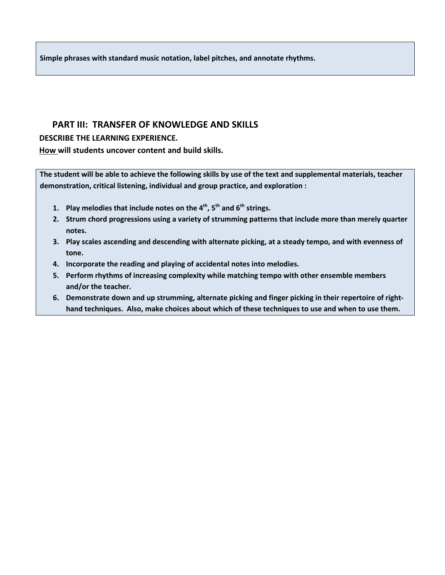**Simple phrases with standard music notation, label pitches, and annotate rhythms.**

# **PART III: TRANSFER OF KNOWLEDGE AND SKILLS**

# **DESCRIBE THE LEARNING EXPERIENCE.**

**How will students uncover content and build skills.** 

**The student will be able to achieve the following skills by use of the text and supplemental materials, teacher demonstration, critical listening, individual and group practice, and exploration :**

- **1. Play melodies that include notes on the 4th, 5th and 6th strings.**
- **2. Strum chord progressions using a variety of strumming patterns that include more than merely quarter notes.**
- **3. Play scales ascending and descending with alternate picking, at a steady tempo, and with evenness of tone.**
- **4. Incorporate the reading and playing of accidental notes into melodies.**
- **5. Perform rhythms of increasing complexity while matching tempo with other ensemble members and/or the teacher.**
- **6. Demonstrate down and up strumming, alternate picking and finger picking in their repertoire of righthand techniques. Also, make choices about which of these techniques to use and when to use them.**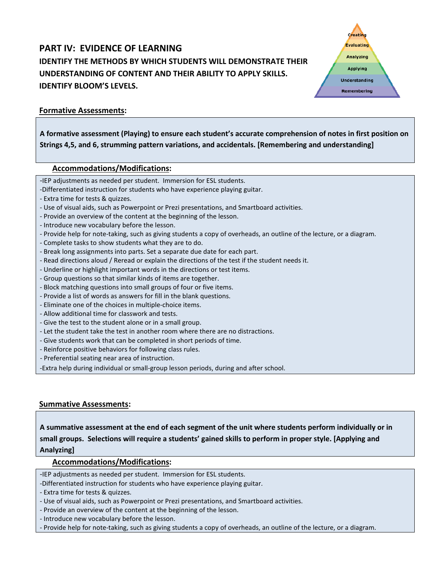# **PART IV: EVIDENCE OF LEARNING IDENTIFY THE METHODS BY WHICH STUDENTS WILL DEMONSTRATE THEIR UNDERSTANDING OF CONTENT AND THEIR ABILITY TO APPLY SKILLS. IDENTIFY BLOOM'S LEVELS.**



# **Formative Assessments:**

**A formative assessment (Playing) to ensure each student's accurate comprehension of notes in first position on Strings 4,5, and 6, strumming pattern variations, and accidentals. [Remembering and understanding]**

# **Accommodations/Modifications:**

-IEP adjustments as needed per student. Immersion for ESL students.

- -Differentiated instruction for students who have experience playing guitar.
- Extra time for tests & quizzes.
- Use of visual aids, such as Powerpoint or Prezi presentations, and Smartboard activities.
- Provide an overview of the content at the beginning of the lesson.
- Introduce new vocabulary before the lesson.
- Provide help for note-taking, such as giving students a copy of overheads, an outline of the lecture, or a diagram.
- Complete tasks to show students what they are to do.
- Break long assignments into parts. Set a separate due date for each part.
- Read directions aloud / Reread or explain the directions of the test if the student needs it.
- Underline or highlight important words in the directions or test items.
- Group questions so that similar kinds of items are together.
- Block matching questions into small groups of four or five items.
- Provide a list of words as answers for fill in the blank questions.
- Eliminate one of the choices in multiple-choice items.
- Allow additional time for classwork and tests.
- Give the test to the student alone or in a small group.
- Let the student take the test in another room where there are no distractions.
- Give students work that can be completed in short periods of time.
- Reinforce positive behaviors for following class rules.
- Preferential seating near area of instruction.

-Extra help during individual or small-group lesson periods, during and after school.

## **Summative Assessments:**

**A summative assessment at the end of each segment of the unit where students perform individually or in small groups. Selections will require a students' gained skills to perform in proper style. [Applying and Analyzing]**

# **Accommodations/Modifications:**

-IEP adjustments as needed per student. Immersion for ESL students.

- -Differentiated instruction for students who have experience playing guitar.
- Extra time for tests & quizzes.
- Use of visual aids, such as Powerpoint or Prezi presentations, and Smartboard activities.
- Provide an overview of the content at the beginning of the lesson.
- Introduce new vocabulary before the lesson.
- Provide help for note-taking, such as giving students a copy of overheads, an outline of the lecture, or a diagram.